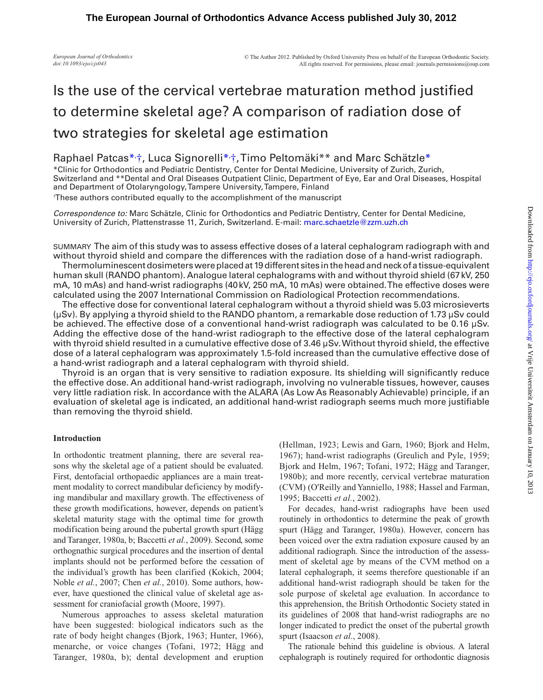*European Journal of Orthodontics doi:10.1093/ejo/cjs043*

# Is the use of the cervical vertebrae maturation method justified to determine skeletal age? A comparison of radiation dose of two strategies for skeletal age estimation

# Raphael Patcas[\\*](#page-0-0)<sub>1</sub>, Luca Signorelli\*<sub>1</sub>, Timo Peltomäki\*\* and Marc Schätzle\*

<span id="page-0-0"></span>\*Clinic for Orthodontics and Pediatric Dentistry, Center for Dental Medicine, University of Zurich, Zurich, Switzerland and \*\*Dental and Oral Diseases Outpatient Clinic, Department of Eye, Ear and Oral Diseases, Hospital and Department of Otolaryngology, Tampere University, Tampere, Finland † These authors contributed equally to the accomplishment of the manuscript

*Correspondence to:* Marc Schätzle, Clinic for Orthodontics and Pediatric Dentistry, Center for Dental Medicine, University of Zurich, Plattenstrasse 11, Zurich, Switzerland. E-mail: [marc.schaetzle@zzm.uzh.ch](mailto:schaema@hotmail.com?subject=)

SUMMARY The aim of this study was to assess effective doses of a lateral cephalogram radiograph with and without thyroid shield and compare the differences with the radiation dose of a hand-wrist radiograph.

Thermoluminescent dosimeters were placed at 19 different sites in the head and neck of a tissue-equivalent human skull (RANDO phantom). Analogue lateral cephalograms with and without thyroid shield (67kV, 250 mA, 10 mAs) and hand-wrist radiographs (40kV, 250 mA, 10 mAs) were obtained. The effective doses were calculated using the 2007 International Commission on Radiological Protection recommendations.

The effective dose for conventional lateral cephalogram without a thyroid shield was 5.03 microsieverts (µSv). By applying a thyroid shield to the RANDO phantom, a remarkable dose reduction of 1.73 µSv could be achieved. The effective dose of a conventional hand-wrist radiograph was calculated to be 0.16 µSv. Adding the effective dose of the hand-wrist radiograph to the effective dose of the lateral cephalogram with thyroid shield resulted in a cumulative effective dose of 3.46 µSv. Without thyroid shield, the effective dose of a lateral cephalogram was approximately 1.5-fold increased than the cumulative effective dose of a hand-wrist radiograph and a lateral cephalogram with thyroid shield.

Thyroid is an organ that is very sensitive to radiation exposure. Its shielding will significantly reduce the effective dose. An additional hand-wrist radiograph, involving no vulnerable tissues, however, causes very little radiation risk. In accordance with the ALARA (As Low As Reasonably Achievable) principle, if an evaluation of skeletal age is indicated, an additional hand-wrist radiograph seems much more justifiable than removing the thyroid shield.

## **Introduction**

In orthodontic treatment planning, there are several reasons why the skeletal age of a patient should be evaluated. First, dentofacial orthopaedic appliances are a main treatment modality to correct mandibular deficiency by modifying mandibular and maxillary growth. The effectiveness of these growth modifications, however, depends on patient's skeletal maturity stage with the optimal time for growth modification being around the pubertal growth spurt (Hägg and Taranger, 1980a, b; Baccetti *et al.*, 2009). Second, some orthognathic surgical procedures and the insertion of dental implants should not be performed before the cessation of the individual's growth has been clarified (Kokich, 2004; Noble *et al.*, 2007; Chen *et al.*, 2010). Some authors, however, have questioned the clinical value of skeletal age assessment for craniofacial growth (Moore, 1997).

Numerous approaches to assess skeletal maturation have been suggested: biological indicators such as the rate of body height changes (Bjork, 1963; Hunter, 1966), menarche, or voice changes (Tofani, 1972; Hägg and Taranger, 1980a, b); dental development and eruption (Hellman, 1923; Lewis and Garn, 1960; Bjork and Helm, 1967); hand-wrist radiographs (Greulich and Pyle, 1959; Bjork and Helm, 1967; Tofani, 1972; Hägg and Taranger, 1980b); and more recently, cervical vertebrae maturation (CVM) (O'Reilly and Yanniello, 1988; Hassel and Farman, 1995; Baccetti *et al.*, 2002).

For decades, hand-wrist radiographs have been used routinely in orthodontics to determine the peak of growth spurt (Hägg and Taranger, 1980a). However, concern has been voiced over the extra radiation exposure caused by an additional radiograph. Since the introduction of the assessment of skeletal age by means of the CVM method on a lateral cephalograph, it seems therefore questionable if an additional hand-wrist radiograph should be taken for the sole purpose of skeletal age evaluation. In accordance to this apprehension, the British Orthodontic Society stated in its guidelines of 2008 that hand-wrist radiographs are no longer indicated to predict the onset of the pubertal growth spurt (Isaacson *et al.*, 2008).

The rationale behind this guideline is obvious. A lateral cephalograph is routinely required for orthodontic diagnosis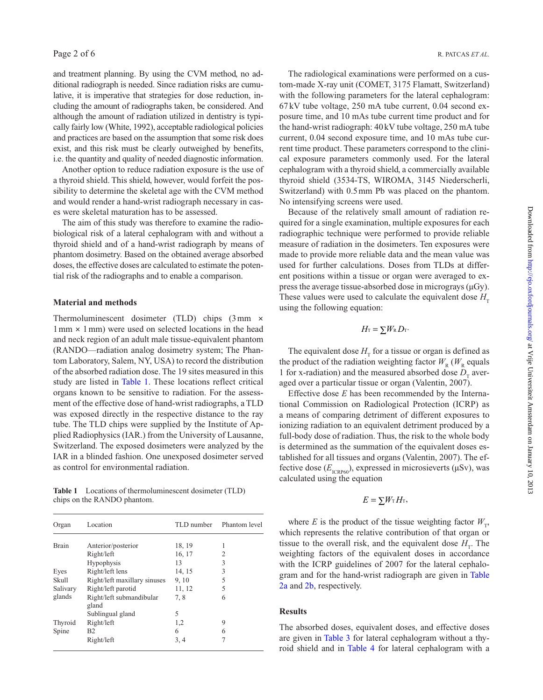and treatment planning. By using the CVM method, no additional radiograph is needed. Since radiation risks are cumulative, it is imperative that strategies for dose reduction, including the amount of radiographs taken, be considered. And although the amount of radiation utilized in dentistry is typically fairly low (White, 1992), acceptable radiological policies and practices are based on the assumption that some risk does exist, and this risk must be clearly outweighed by benefits, i.e. the quantity and quality of needed diagnostic information.

Another option to reduce radiation exposure is the use of a thyroid shield. This shield, however, would forfeit the possibility to determine the skeletal age with the CVM method and would render a hand-wrist radiograph necessary in cases were skeletal maturation has to be assessed.

The aim of this study was therefore to examine the radiobiological risk of a lateral cephalogram with and without a thyroid shield and of a hand-wrist radiograph by means of phantom dosimetry. Based on the obtained average absorbed doses, the effective doses are calculated to estimate the potential risk of the radiographs and to enable a comparison.

#### **Material and methods**

Thermoluminescent dosimeter (TLD) chips (3mm ×  $1 \text{ mm} \times 1 \text{ mm}$ ) were used on selected locations in the head and neck region of an adult male tissue-equivalent phantom (RANDO—radiation analog dosimetry system; The Phantom Laboratory, Salem, NY, USA) to record the distribution of the absorbed radiation dose. The 19 sites measured in this study are listed in [Table 1.](#page-1-0) These locations reflect critical organs known to be sensitive to radiation. For the assessment of the effective dose of hand-wrist radiographs, a TLD was exposed directly in the respective distance to the ray tube. The TLD chips were supplied by the Institute of Applied Radiophysics (IAR.) from the University of Lausanne, Switzerland. The exposed dosimeters were analyzed by the IAR in a blinded fashion. One unexposed dosimeter served as control for environmental radiation.

<span id="page-1-0"></span>**Table 1** Locations of thermoluminescent dosimeter (TLD) chips on the RANDO phantom.

| Organ        | Location                          | TLD number | Phantom level |
|--------------|-----------------------------------|------------|---------------|
| <b>Brain</b> | Anterior/posterior                | 18, 19     |               |
|              | Right/left                        | 16, 17     | 2             |
|              | Hypophysis                        | 13         | 3             |
| Eyes         | Right/left lens                   | 14, 15     | 3             |
| Skull        | Right/left maxillary sinuses      | 9, 10      | 5             |
| Salivary     | Right/left parotid                | 11, 12     | 5             |
| glands       | Right/left submandibular<br>gland | 7.8        | 6             |
|              | Sublingual gland                  | 5          |               |
| Thyroid      | Right/left                        | 1,2        | 9             |
| Spine        | B <sub>2</sub>                    | 6          | 6             |
|              | Right/left                        | 3, 4       | 7             |

The radiological examinations were performed on a custom-made X-ray unit (COMET, 3175 Flamatt, Switzerland) with the following parameters for the lateral cephalogram: 67kV tube voltage, 250 mA tube current, 0.04 second exposure time, and 10 mAs tube current time product and for the hand-wrist radiograph: 40kV tube voltage, 250 mA tube current, 0.04 second exposure time, and 10 mAs tube current time product. These parameters correspond to the clinical exposure parameters commonly used. For the lateral cephalogram with a thyroid shield, a commercially available thyroid shield (3534-TS, WIROMA, 3145 Niederscherli, Switzerland) with 0.5mm Pb was placed on the phantom. No intensifying screens were used.

Because of the relatively small amount of radiation required for a single examination, multiple exposures for each radiographic technique were performed to provide reliable measure of radiation in the dosimeters. Ten exposures were made to provide more reliable data and the mean value was used for further calculations. Doses from TLDs at different positions within a tissue or organ were averaged to express the average tissue-absorbed dose in micrograys (µGy). These values were used to calculate the equivalent dose  $H_{\tau}$ using the following equation:

$$
H_{\rm T} = \sum W_{\rm R} D_{\rm T}.
$$

The equivalent dose  $H<sub>T</sub>$  for a tissue or organ is defined as the product of the radiation weighting factor  $W_{R}(W_{R}$  equals 1 for x-radiation) and the measured absorbed dose  $D<sub>r</sub>$  averaged over a particular tissue or organ (Valentin, 2007).

Effective dose *E* has been recommended by the International Commission on Radiological Protection (ICRP) as a means of comparing detriment of different exposures to ionizing radiation to an equivalent detriment produced by a full-body dose of radiation. Thus, the risk to the whole body is determined as the summation of the equivalent doses established for all tissues and organs (Valentin, 2007). The effective dose  $(E_{\text{ICRPO}})$ , expressed in microsieverts ( $\mu$ Sv), was calculated using the equation

$$
E=\sum W_{\rm T}H_{\rm T},
$$

where *E* is the product of the tissue weighting factor  $W_{\tau}$ , which represents the relative contribution of that organ or tissue to the overall risk, and the equivalent dose  $H_T$ . The weighting factors of the equivalent doses in accordance with the ICRP guidelines of 2007 for the lateral cephalogram and for the hand-wrist radiograph are given in [Table](#page-2-0) [2a](#page-2-0) and [2b](#page-2-1), respectively.

### **Results**

The absorbed doses, equivalent doses, and effective doses are given in [Table 3](#page-2-2) for lateral cephalogram without a thyroid shield and in [Table 4](#page-3-0) for lateral cephalogram with a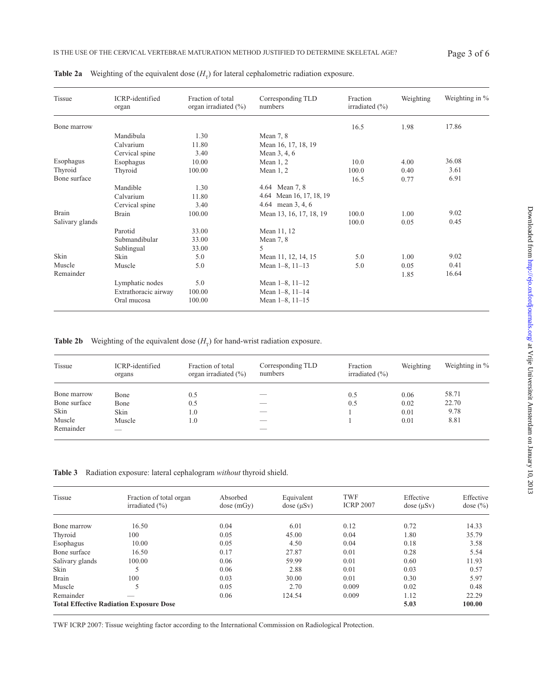| Tissue          | ICRP-identified<br>organ | Fraction of total<br>organ irradiated $(\% )$ | Corresponding TLD<br>numbers | Fraction<br>irradiated $(\% )$ | Weighting | Weighting in % |
|-----------------|--------------------------|-----------------------------------------------|------------------------------|--------------------------------|-----------|----------------|
| Bone marrow     |                          |                                               |                              | 16.5                           | 1.98      | 17.86          |
|                 | Mandibula                | 1.30                                          | Mean $7, 8$                  |                                |           |                |
|                 | Calvarium                | 11.80                                         | Mean 16, 17, 18, 19          |                                |           |                |
|                 | Cervical spine           | 3.40                                          | Mean 3, 4, 6                 |                                |           |                |
| Esophagus       | Esophagus                | 10.00                                         | Mean $1, 2$                  | 10.0                           | 4.00      | 36.08          |
| Thyroid         | Thyroid                  | 100.00                                        | Mean $1, 2$                  | 100.0                          | 0.40      | 3.61           |
| Bone surface    |                          |                                               |                              | 16.5                           | 0.77      | 6.91           |
|                 | Mandible                 | 1.30                                          | 4.64 Mean 7, 8               |                                |           |                |
|                 | Calvarium                | 11.80                                         | 4.64 Mean 16, 17, 18, 19     |                                |           |                |
|                 | Cervical spine           | 3.40                                          | 4.64 mean 3, 4, 6            |                                |           |                |
| Brain           | <b>Brain</b>             | 100.00                                        | Mean 13, 16, 17, 18, 19      | 100.0                          | 1.00      | 9.02           |
| Salivary glands |                          |                                               |                              | 100.0                          | 0.05      | 0.45           |
|                 | Parotid                  | 33.00                                         | Mean 11, 12                  |                                |           |                |
|                 | Submandibular            | 33.00                                         | Mean $7, 8$                  |                                |           |                |
|                 | Sublingual               | 33.00                                         | 5                            |                                |           |                |
| Skin            | Skin                     | 5.0                                           | Mean 11, 12, 14, 15          | 5.0                            | 1.00      | 9.02           |
| Muscle          | Muscle                   | 5.0                                           | Mean $1-8$ , $11-13$         | 5.0                            | 0.05      | 0.41           |
| Remainder       |                          |                                               |                              |                                | 1.85      | 16.64          |
|                 | Lymphatic nodes          | 5.0                                           | Mean $1-8$ , $11-12$         |                                |           |                |
|                 | Extrathoracic airway     | 100.00                                        | Mean 1-8, 11-14              |                                |           |                |
|                 | Oral mucosa              | 100.00                                        | Mean $1-8$ , $11-15$         |                                |           |                |

<span id="page-2-0"></span>**Table 2a** Weighting of the equivalent dose  $(H<sub>r</sub>)$  for lateral cephalometric radiation exposure.

<span id="page-2-1"></span>**Table 2b** Weighting of the equivalent dose  $(H_T)$  for hand-wrist radiation exposure.

| Tissue       | ICRP-identified<br>organs | Fraction of total<br>organ irradiated $(\% )$ | Corresponding TLD<br>numbers | Fraction<br>irradiated $(\% )$ | Weighting | Weighting in % |
|--------------|---------------------------|-----------------------------------------------|------------------------------|--------------------------------|-----------|----------------|
| Bone marrow  | Bone                      | 0.5                                           | __                           | 0.5                            | 0.06      | 58.71          |
| Bone surface | Bone                      | 0.5                                           | __                           | 0.5                            | 0.02      | 22.70          |
| Skin         | Skin                      | 1.0                                           | __                           |                                | 0.01      | 9.78           |
| Muscle       | Muscle                    | 1.0                                           | __                           |                                | 0.01      | 8.81           |
| Remainder    | _                         |                                               | __                           |                                |           |                |

<span id="page-2-2"></span>**Table 3** Radiation exposure: lateral cephalogram *without* thyroid shield.

| <b>Tissue</b>                                  | Fraction of total organ<br>irradiated $(\% )$ | Absorbed<br>dose(mGy) | Equivalent<br>dose (uSv) | TWF<br><b>ICRP 2007</b> | Effective<br>dose (uSv) | Effective<br>dose $(\% )$ |
|------------------------------------------------|-----------------------------------------------|-----------------------|--------------------------|-------------------------|-------------------------|---------------------------|
| Bone marrow                                    | 16.50                                         | 0.04                  | 6.01                     | 0.12                    | 0.72                    | 14.33                     |
| Thyroid                                        | 100                                           | 0.05                  | 45.00                    | 0.04                    | 1.80                    | 35.79                     |
| Esophagus                                      | 10.00                                         | 0.05                  | 4.50                     | 0.04                    | 0.18                    | 3.58                      |
| Bone surface                                   | 16.50                                         | 0.17                  | 27.87                    | 0.01                    | 0.28                    | 5.54                      |
| Salivary glands                                | 100.00                                        | 0.06                  | 59.99                    | 0.01                    | 0.60                    | 11.93                     |
| Skin                                           | 5                                             | 0.06                  | 2.88                     | 0.01                    | 0.03                    | 0.57                      |
| <b>Brain</b>                                   | 100                                           | 0.03                  | 30.00                    | 0.01                    | 0.30                    | 5.97                      |
| Muscle                                         | 5                                             | 0.05                  | 2.70                     | 0.009                   | 0.02                    | 0.48                      |
| Remainder                                      |                                               | 0.06                  | 124.54                   | 0.009                   | 1.12                    | 22.29                     |
| <b>Total Effective Radiation Exposure Dose</b> |                                               |                       |                          |                         | 5.03                    | 100.00                    |

TWF ICRP 2007: Tissue weighting factor according to the International Commission on Radiological Protection.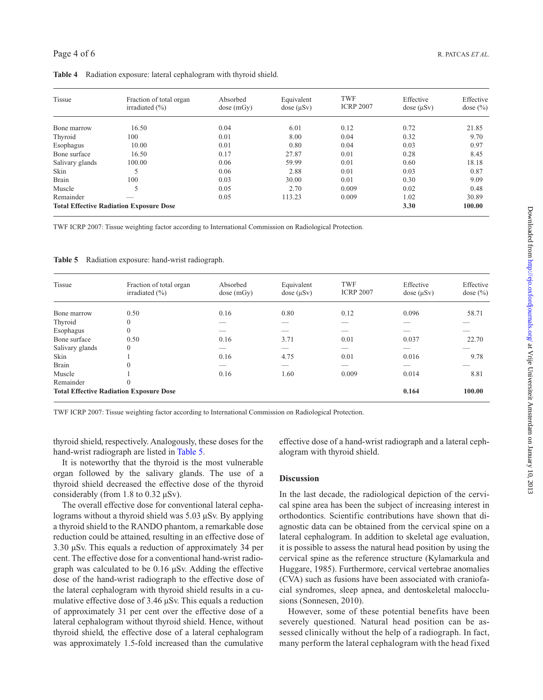| Tissue          | Fraction of total organ<br>irradiated $(\% )$  | Absorbed<br>dose(mGy) | Equivalent<br>dose $(\mu Sv)$ | TWF<br><b>ICRP 2007</b> | Effective<br>dose $(\mu Sv)$ | Effective<br>dose $(\% )$ |
|-----------------|------------------------------------------------|-----------------------|-------------------------------|-------------------------|------------------------------|---------------------------|
| Bone marrow     | 16.50                                          | 0.04                  | 6.01                          | 0.12                    | 0.72                         | 21.85                     |
| Thyroid         | 100                                            | 0.01                  | 8.00                          | 0.04                    | 0.32                         | 9.70                      |
| Esophagus       | 10.00                                          | 0.01                  | 0.80                          | 0.04                    | 0.03                         | 0.97                      |
| Bone surface    | 16.50                                          | 0.17                  | 27.87                         | 0.01                    | 0.28                         | 8.45                      |
| Salivary glands | 100.00                                         | 0.06                  | 59.99                         | 0.01                    | 0.60                         | 18.18                     |
| Skin            |                                                | 0.06                  | 2.88                          | 0.01                    | 0.03                         | 0.87                      |
| Brain           | 100                                            | 0.03                  | 30.00                         | 0.01                    | 0.30                         | 9.09                      |
| Muscle          | 5                                              | 0.05                  | 2.70                          | 0.009                   | 0.02                         | 0.48                      |
| Remainder       |                                                | 0.05                  | 113.23                        | 0.009                   | 1.02                         | 30.89                     |
|                 | <b>Total Effective Radiation Exposure Dose</b> |                       |                               |                         | 3.30                         | 100.00                    |

<span id="page-3-0"></span>**Table 4** Radiation exposure: lateral cephalogram with thyroid shield.

TWF ICRP 2007: Tissue weighting factor according to International Commission on Radiological Protection.

<span id="page-3-1"></span>**Table 5** Radiation exposure: hand-wrist radiograph.

| <b>Tissue</b>                                  | Fraction of total organ<br>irradiated $(\% )$ | Absorbed<br>dose(mGy) | Equivalent<br>dose $(\mu Sv)$ | <b>TWF</b><br><b>ICRP 2007</b> | Effective<br>dose $(\mu Sv)$ | Effective<br>dose $(\% )$ |
|------------------------------------------------|-----------------------------------------------|-----------------------|-------------------------------|--------------------------------|------------------------------|---------------------------|
| Bone marrow                                    | 0.50                                          | 0.16                  | 0.80                          | 0.12                           | 0.096                        | 58.71                     |
| Thyroid                                        | $\theta$                                      | ___                   | _                             | $\overline{\phantom{a}}$       | $\overline{\phantom{a}}$     |                           |
| Esophagus                                      | $\mathbf{0}$                                  |                       |                               | _                              |                              |                           |
| Bone surface                                   | 0.50                                          | 0.16                  | 3.71                          | 0.01                           | 0.037                        | 22.70                     |
| Salivary glands                                | $\mathbf{0}$                                  |                       |                               | _                              | --                           |                           |
| Skin                                           |                                               | 0.16                  | 4.75                          | 0.01                           | 0.016                        | 9.78                      |
| <b>Brain</b>                                   | $\overline{0}$                                | _                     | _                             | _                              | _                            |                           |
| Muscle                                         |                                               | 0.16                  | 1.60                          | 0.009                          | 0.014                        | 8.81                      |
| Remainder                                      | $\theta$                                      |                       |                               |                                |                              |                           |
| <b>Total Effective Radiation Exposure Dose</b> |                                               |                       |                               |                                | 0.164                        | 100.00                    |

TWF ICRP 2007: Tissue weighting factor according to International Commission on Radiological Protection.

thyroid shield, respectively. Analogously, these doses for the hand-wrist radiograph are listed in [Table 5.](#page-3-1)

It is noteworthy that the thyroid is the most vulnerable organ followed by the salivary glands. The use of a thyroid shield decreased the effective dose of the thyroid considerably (from 1.8 to 0.32 µSv).

The overall effective dose for conventional lateral cephalograms without a thyroid shield was 5.03 µSv. By applying a thyroid shield to the RANDO phantom, a remarkable dose reduction could be attained, resulting in an effective dose of 3.30 µSv. This equals a reduction of approximately 34 per cent. The effective dose for a conventional hand-wrist radiograph was calculated to be 0.16 µSv. Adding the effective dose of the hand-wrist radiograph to the effective dose of the lateral cephalogram with thyroid shield results in a cumulative effective dose of 3.46 µSv. This equals a reduction of approximately 31 per cent over the effective dose of a lateral cephalogram without thyroid shield. Hence, without thyroid shield, the effective dose of a lateral cephalogram was approximately 1.5-fold increased than the cumulative

effective dose of a hand-wrist radiograph and a lateral cephalogram with thyroid shield.

#### **Discussion**

In the last decade, the radiological depiction of the cervical spine area has been the subject of increasing interest in orthodontics. Scientific contributions have shown that diagnostic data can be obtained from the cervical spine on a lateral cephalogram. In addition to skeletal age evaluation, it is possible to assess the natural head position by using the cervical spine as the reference structure (Kylamarkula and Huggare, 1985). Furthermore, cervical vertebrae anomalies (CVA) such as fusions have been associated with craniofacial syndromes, sleep apnea, and dentoskeletal malocclusions (Sonnesen, 2010).

However, some of these potential benefits have been severely questioned. Natural head position can be assessed clinically without the help of a radiograph. In fact, many perform the lateral cephalogram with the head fixed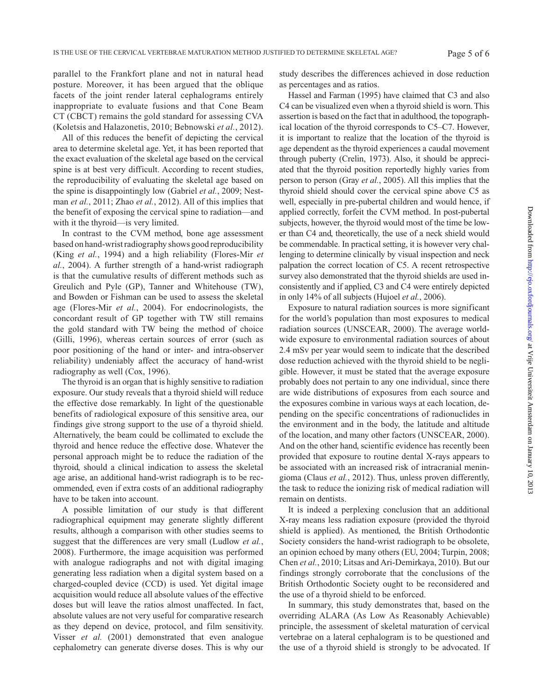parallel to the Frankfort plane and not in natural head posture. Moreover, it has been argued that the oblique facets of the joint render lateral cephalograms entirely inappropriate to evaluate fusions and that Cone Beam CT (CBCT) remains the gold standard for assessing CVA (Koletsis and Halazonetis, 2010; Bebnowski *et al.*, 2012).

All of this reduces the benefit of depicting the cervical area to determine skeletal age. Yet, it has been reported that the exact evaluation of the skeletal age based on the cervical spine is at best very difficult. According to recent studies, the reproducibility of evaluating the skeletal age based on the spine is disappointingly low (Gabriel *et al.*, 2009; Nestman *et al.*, 2011; Zhao *et al.*, 2012). All of this implies that the benefit of exposing the cervical spine to radiation—and with it the thyroid—is very limited.

In contrast to the CVM method, bone age assessment based on hand-wrist radiography shows good reproducibility (King *et al.*, 1994) and a high reliability (Flores-Mir *et al.*, 2004). A further strength of a hand-wrist radiograph is that the cumulative results of different methods such as Greulich and Pyle (GP), Tanner and Whitehouse (TW), and Bowden or Fishman can be used to assess the skeletal age (Flores-Mir *et al.*, 2004). For endocrinologists, the concordant result of GP together with TW still remains the gold standard with TW being the method of choice (Gilli, 1996), whereas certain sources of error (such as poor positioning of the hand or inter- and intra-observer reliability) undeniably affect the accuracy of hand-wrist radiography as well (Cox, 1996).

The thyroid is an organ that is highly sensitive to radiation exposure. Our study reveals that a thyroid shield will reduce the effective dose remarkably. In light of the questionable benefits of radiological exposure of this sensitive area, our findings give strong support to the use of a thyroid shield. Alternatively, the beam could be collimated to exclude the thyroid and hence reduce the effective dose. Whatever the personal approach might be to reduce the radiation of the thyroid, should a clinical indication to assess the skeletal age arise, an additional hand-wrist radiograph is to be recommended, even if extra costs of an additional radiography have to be taken into account.

A possible limitation of our study is that different radiographical equipment may generate slightly different results, although a comparison with other studies seems to suggest that the differences are very small (Ludlow *et al.*, 2008). Furthermore, the image acquisition was performed with analogue radiographs and not with digital imaging generating less radiation when a digital system based on a charged-coupled device (CCD) is used. Yet digital image acquisition would reduce all absolute values of the effective doses but will leave the ratios almost unaffected. In fact, absolute values are not very useful for comparative research as they depend on device, protocol, and film sensitivity. Visser *et al.* (2001) demonstrated that even analogue cephalometry can generate diverse doses. This is why our study describes the differences achieved in dose reduction as percentages and as ratios.

Hassel and Farman (1995) have claimed that C3 and also C4 can be visualized even when a thyroid shield is worn. This assertion is based on the fact that in adulthood, the topographical location of the thyroid corresponds to C5–C7. However, it is important to realize that the location of the thyroid is age dependent as the thyroid experiences a caudal movement through puberty (Crelin, 1973). Also, it should be appreciated that the thyroid position reportedly highly varies from person to person (Gray *et al.*, 2005). All this implies that the thyroid shield should cover the cervical spine above C5 as well, especially in pre-pubertal children and would hence, if applied correctly, forfeit the CVM method. In post-pubertal subjects, however, the thyroid would most of the time be lower than C4 and, theoretically, the use of a neck shield would be commendable. In practical setting, it is however very challenging to determine clinically by visual inspection and neck palpation the correct location of C5. A recent retrospective survey also demonstrated that the thyroid shields are used inconsistently and if applied, C3 and C4 were entirely depicted in only 14% of all subjects (Hujoel *et al.*, 2006).

Exposure to natural radiation sources is more significant for the world's population than most exposures to medical radiation sources (UNSCEAR, 2000). The average worldwide exposure to environmental radiation sources of about 2.4 mSv per year would seem to indicate that the described dose reduction achieved with the thyroid shield to be negligible. However, it must be stated that the average exposure probably does not pertain to any one individual, since there are wide distributions of exposures from each source and the exposures combine in various ways at each location, depending on the specific concentrations of radionuclides in the environment and in the body, the latitude and altitude of the location, and many other factors (UNSCEAR, 2000). And on the other hand, scientific evidence has recently been provided that exposure to routine dental X-rays appears to be associated with an increased risk of intracranial meningioma (Claus *et al.*, 2012). Thus, unless proven differently, the task to reduce the ionizing risk of medical radiation will remain on dentists.

It is indeed a perplexing conclusion that an additional X-ray means less radiation exposure (provided the thyroid shield is applied). As mentioned, the British Orthodontic Society considers the hand-wrist radiograph to be obsolete, an opinion echoed by many others (EU, 2004; Turpin, 2008; Chen *et al.*, 2010; Litsas and Ari-Demirkaya, 2010). But our findings strongly corroborate that the conclusions of the British Orthodontic Society ought to be reconsidered and the use of a thyroid shield to be enforced.

In summary, this study demonstrates that, based on the overriding ALARA (As Low As Reasonably Achievable) principle, the assessment of skeletal maturation of cervical vertebrae on a lateral cephalogram is to be questioned and the use of a thyroid shield is strongly to be advocated. If